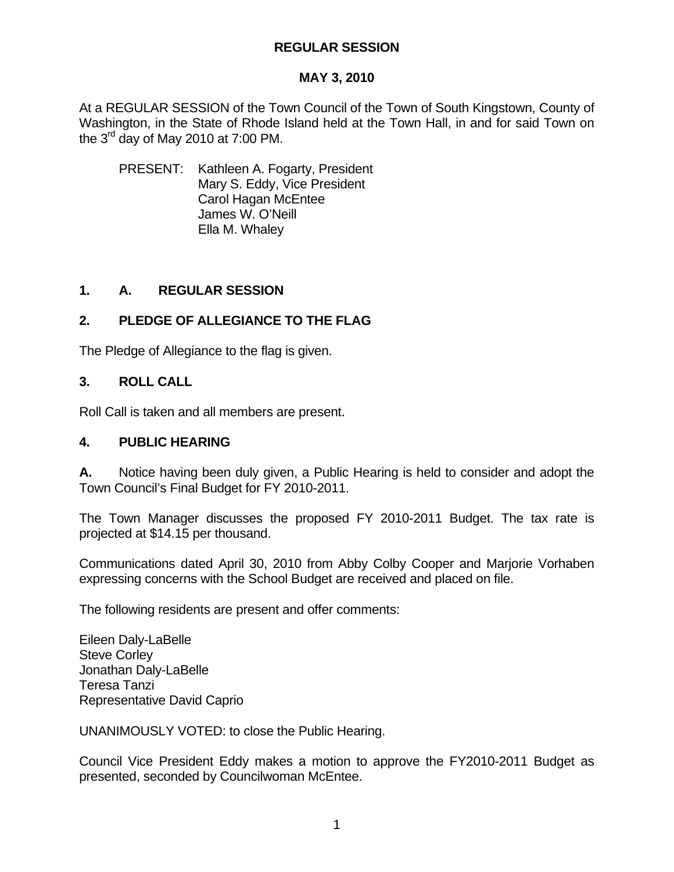#### **MAY 3, 2010**

At a REGULAR SESSION of the Town Council of the Town of South Kingstown, County of Washington, in the State of Rhode Island held at the Town Hall, in and for said Town on the  $3^{rd}$  day of May 2010 at 7:00 PM.

 PRESENT: Kathleen A. Fogarty, President Mary S. Eddy, Vice President Carol Hagan McEntee James W. O'Neill Ella M. Whaley

## **1. A. REGULAR SESSION**

## **2. PLEDGE OF ALLEGIANCE TO THE FLAG**

The Pledge of Allegiance to the flag is given.

#### **3. ROLL CALL**

Roll Call is taken and all members are present.

#### **4. PUBLIC HEARING**

**A.** Notice having been duly given, a Public Hearing is held to consider and adopt the Town Council's Final Budget for FY 2010-2011.

The Town Manager discusses the proposed FY 2010-2011 Budget. The tax rate is projected at \$14.15 per thousand.

Communications dated April 30, 2010 from Abby Colby Cooper and Marjorie Vorhaben expressing concerns with the School Budget are received and placed on file.

The following residents are present and offer comments:

Eileen Daly-LaBelle Steve Corley Jonathan Daly-LaBelle Teresa Tanzi Representative David Caprio

UNANIMOUSLY VOTED: to close the Public Hearing.

Council Vice President Eddy makes a motion to approve the FY2010-2011 Budget as presented, seconded by Councilwoman McEntee.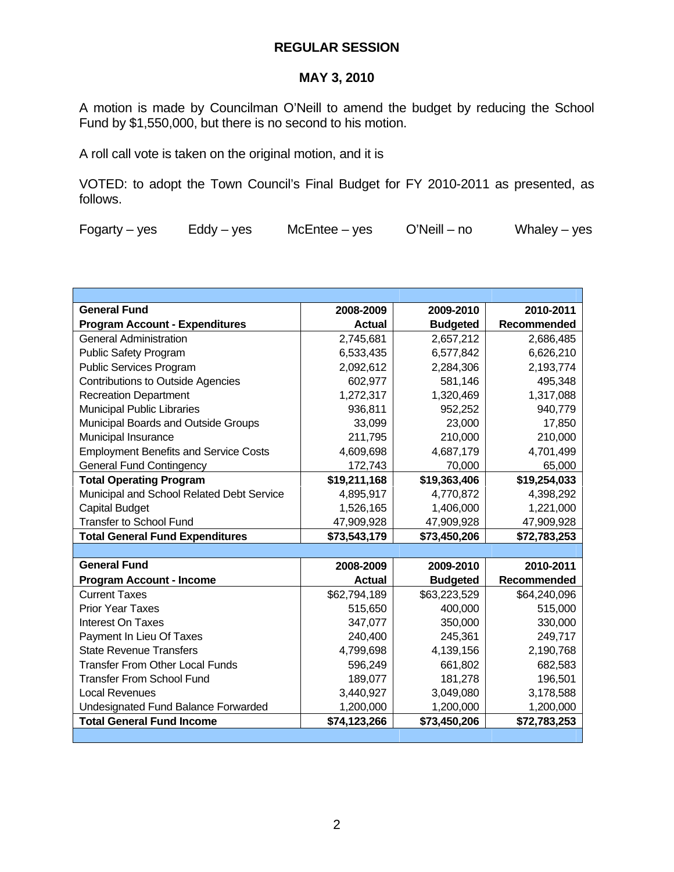## **MAY 3, 2010**

A motion is made by Councilman O'Neill to amend the budget by reducing the School Fund by \$1,550,000, but there is no second to his motion.

A roll call vote is taken on the original motion, and it is

VOTED: to adopt the Town Council's Final Budget for FY 2010-2011 as presented, as follows.

| <b>General Fund</b>                          | 2008-2009     | 2009-2010       | 2010-2011    |
|----------------------------------------------|---------------|-----------------|--------------|
| <b>Program Account - Expenditures</b>        | <b>Actual</b> | <b>Budgeted</b> | Recommended  |
| <b>General Administration</b>                | 2,745,681     | 2,657,212       | 2,686,485    |
| <b>Public Safety Program</b>                 | 6,533,435     | 6,577,842       | 6,626,210    |
| <b>Public Services Program</b>               | 2,092,612     | 2,284,306       | 2,193,774    |
| <b>Contributions to Outside Agencies</b>     | 602,977       | 581,146         | 495,348      |
| <b>Recreation Department</b>                 | 1,272,317     | 1,320,469       | 1,317,088    |
| <b>Municipal Public Libraries</b>            | 936,811       | 952,252         | 940,779      |
| Municipal Boards and Outside Groups          | 33,099        | 23,000          | 17,850       |
| Municipal Insurance                          | 211,795       | 210,000         | 210,000      |
| <b>Employment Benefits and Service Costs</b> | 4,609,698     | 4,687,179       | 4,701,499    |
| <b>General Fund Contingency</b>              | 172,743       | 70,000          | 65,000       |
| <b>Total Operating Program</b>               | \$19,211,168  | \$19,363,406    | \$19,254,033 |
| Municipal and School Related Debt Service    | 4,895,917     | 4,770,872       | 4,398,292    |
| <b>Capital Budget</b>                        | 1,526,165     | 1,406,000       | 1,221,000    |
| <b>Transfer to School Fund</b>               | 47,909,928    | 47,909,928      | 47,909,928   |
| <b>Total General Fund Expenditures</b>       | \$73,543,179  | \$73,450,206    | \$72,783,253 |
|                                              |               |                 |              |
| <b>General Fund</b>                          | 2008-2009     | 2009-2010       | 2010-2011    |
| <b>Program Account - Income</b>              | <b>Actual</b> | <b>Budgeted</b> | Recommended  |
| <b>Current Taxes</b>                         | \$62,794,189  | \$63,223,529    | \$64,240,096 |
| <b>Prior Year Taxes</b>                      | 515,650       | 400,000         | 515,000      |
| Interest On Taxes                            | 347,077       | 350,000         | 330,000      |
| Payment In Lieu Of Taxes                     | 240,400       | 245,361         | 249,717      |
| <b>State Revenue Transfers</b>               | 4,799,698     | 4,139,156       | 2,190,768    |
| <b>Transfer From Other Local Funds</b>       | 596,249       | 661,802         | 682,583      |
| <b>Transfer From School Fund</b>             | 189,077       | 181,278         | 196,501      |
| Local Revenues                               | 3,440,927     | 3,049,080       | 3,178,588    |
| Undesignated Fund Balance Forwarded          | 1,200,000     | 1,200,000       | 1,200,000    |
| <b>Total General Fund Income</b>             | \$74,123,266  | \$73,450,206    | \$72,783,253 |
|                                              |               |                 |              |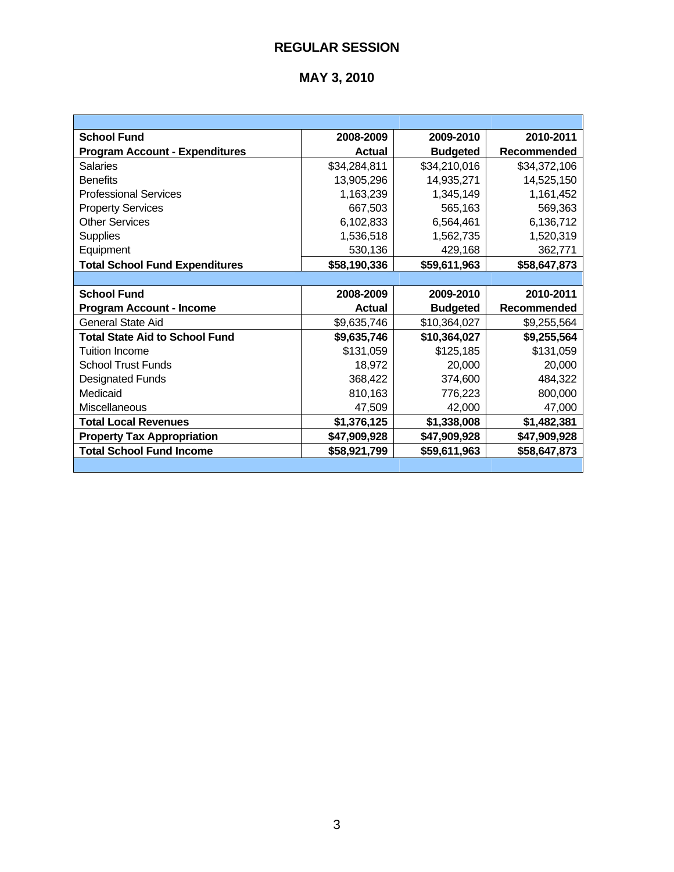| <b>School Fund</b>                    | 2008-2009     | 2009-2010       | 2010-2011          |
|---------------------------------------|---------------|-----------------|--------------------|
| <b>Program Account - Expenditures</b> | <b>Actual</b> | <b>Budgeted</b> | <b>Recommended</b> |
| <b>Salaries</b>                       | \$34,284,811  | \$34,210,016    | \$34,372,106       |
| <b>Benefits</b>                       | 13,905,296    | 14,935,271      | 14,525,150         |
| <b>Professional Services</b>          | 1,163,239     | 1,345,149       | 1,161,452          |
| <b>Property Services</b>              | 667,503       | 565,163         | 569,363            |
| <b>Other Services</b>                 | 6,102,833     | 6,564,461       | 6,136,712          |
| <b>Supplies</b>                       | 1,536,518     | 1,562,735       | 1,520,319          |
| Equipment                             | 530,136       | 429,168         | 362,771            |
| <b>Total School Fund Expenditures</b> | \$58,190,336  | \$59,611,963    | \$58,647,873       |
|                                       |               |                 |                    |
| <b>School Fund</b>                    | 2008-2009     | 2009-2010       | 2010-2011          |
| <b>Program Account - Income</b>       | <b>Actual</b> | <b>Budgeted</b> | <b>Recommended</b> |
| General State Aid                     | \$9,635,746   | \$10,364,027    | \$9,255,564        |
| <b>Total State Aid to School Fund</b> | \$9,635,746   | \$10,364,027    | \$9,255,564        |
| <b>Tuition Income</b>                 | \$131,059     | \$125,185       | \$131,059          |
| <b>School Trust Funds</b>             | 18,972        | 20,000          | 20,000             |
| <b>Designated Funds</b>               | 368,422       | 374,600         | 484,322            |
| Medicaid                              | 810,163       | 776,223         | 800,000            |
| Miscellaneous                         | 47,509        | 42,000          | 47,000             |
| <b>Total Local Revenues</b>           | \$1,376,125   | \$1,338,008     | \$1,482,381        |
| <b>Property Tax Appropriation</b>     | \$47,909,928  | \$47,909,928    | \$47,909,928       |
| <b>Total School Fund Income</b>       | \$58,921,799  | \$59,611,963    | \$58,647,873       |
|                                       |               |                 |                    |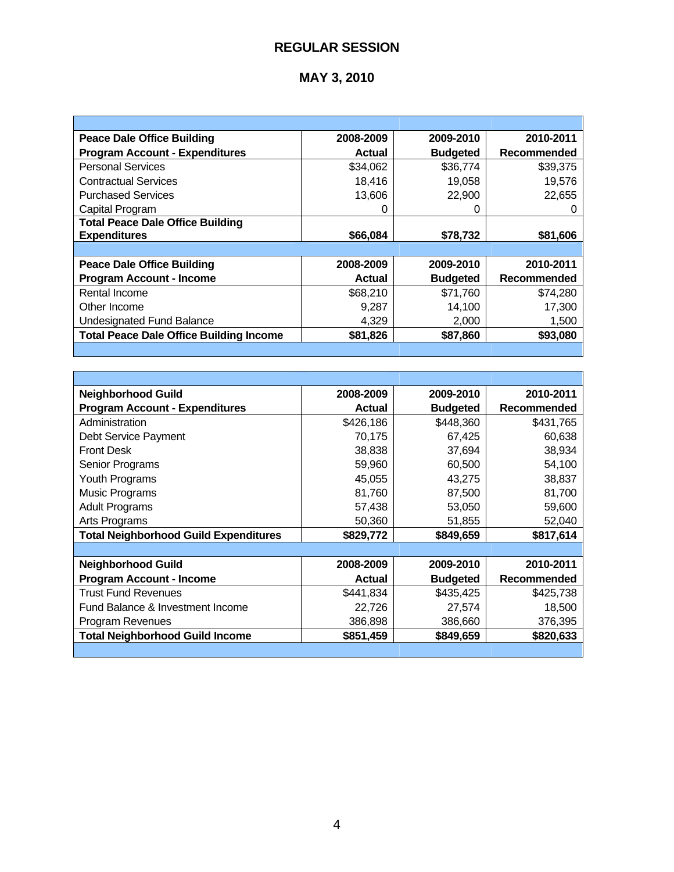# **MAY 3, 2010**

| <b>Peace Dale Office Building</b>              | 2008-2009     | 2009-2010       | 2010-2011          |
|------------------------------------------------|---------------|-----------------|--------------------|
| <b>Program Account - Expenditures</b>          | Actual        | <b>Budgeted</b> | Recommended        |
| <b>Personal Services</b>                       | \$34,062      | \$36,774        | \$39,375           |
| <b>Contractual Services</b>                    | 18.416        | 19.058          | 19,576             |
| <b>Purchased Services</b>                      | 13,606        | 22,900          | 22,655             |
| Capital Program                                |               |                 |                    |
| <b>Total Peace Dale Office Building</b>        |               |                 |                    |
| <b>Expenditures</b>                            | \$66,084      | \$78,732        | \$81,606           |
|                                                |               |                 |                    |
| <b>Peace Dale Office Building</b>              | 2008-2009     | 2009-2010       | 2010-2011          |
| <b>Program Account - Income</b>                | <b>Actual</b> | <b>Budgeted</b> | <b>Recommended</b> |
| Rental Income                                  | \$68,210      | \$71,760        | \$74,280           |
| Other Income                                   | 9,287         | 14,100          | 17,300             |
| <b>Undesignated Fund Balance</b>               | 4,329         | 2,000           | 1,500              |
| <b>Total Peace Dale Office Building Income</b> | \$81,826      | \$87,860        | \$93,080           |

H

| <b>Neighborhood Guild</b>                    | 2008-2009     | 2009-2010       | 2010-2011   |
|----------------------------------------------|---------------|-----------------|-------------|
| <b>Program Account - Expenditures</b>        | <b>Actual</b> | <b>Budgeted</b> | Recommended |
| Administration                               | \$426,186     | \$448,360       | \$431,765   |
| Debt Service Payment                         | 70,175        | 67,425          | 60,638      |
| <b>Front Desk</b>                            | 38,838        | 37,694          | 38,934      |
| Senior Programs                              | 59,960        | 60,500          | 54,100      |
| Youth Programs                               | 45,055        | 43,275          | 38,837      |
| <b>Music Programs</b>                        | 81,760        | 87,500          | 81,700      |
| <b>Adult Programs</b>                        | 57,438        | 53,050          | 59,600      |
| Arts Programs                                | 50,360        | 51,855          | 52,040      |
| <b>Total Neighborhood Guild Expenditures</b> | \$829,772     | \$849,659       | \$817,614   |
|                                              |               |                 |             |
| <b>Neighborhood Guild</b>                    | 2008-2009     | 2009-2010       | 2010-2011   |
| <b>Program Account - Income</b>              | <b>Actual</b> | <b>Budgeted</b> | Recommended |
| <b>Trust Fund Revenues</b>                   | \$441,834     | \$435,425       | \$425,738   |
| Fund Balance & Investment Income             | 22,726        | 27,574          | 18,500      |
| Program Revenues                             | 386,898       | 386,660         | 376,395     |
| <b>Total Neighborhood Guild Income</b>       | \$851,459     | \$849,659       | \$820,633   |
|                                              |               |                 |             |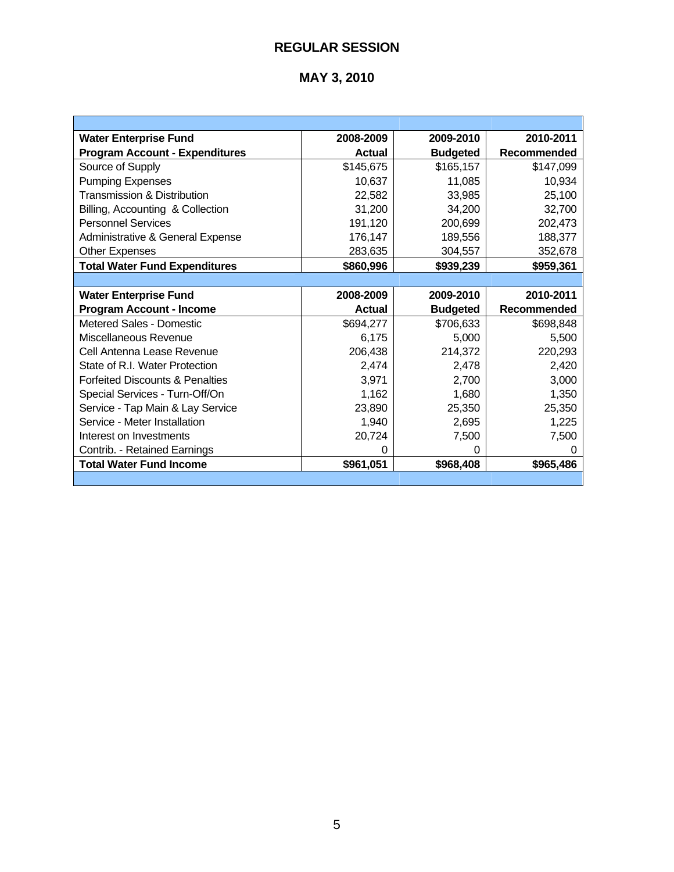| <b>Water Enterprise Fund</b>               | 2008-2009 | 2009-2010       | 2010-2011          |
|--------------------------------------------|-----------|-----------------|--------------------|
| <b>Program Account - Expenditures</b>      | Actual    | <b>Budgeted</b> | <b>Recommended</b> |
| Source of Supply                           | \$145,675 | \$165,157       | \$147,099          |
| <b>Pumping Expenses</b>                    | 10,637    | 11,085          | 10,934             |
| <b>Transmission &amp; Distribution</b>     | 22,582    | 33,985          | 25,100             |
| Billing, Accounting & Collection           | 31,200    | 34.200          | 32,700             |
| <b>Personnel Services</b>                  | 191,120   | 200,699         | 202,473            |
| Administrative & General Expense           | 176,147   | 189,556         | 188,377            |
| <b>Other Expenses</b>                      | 283,635   | 304,557         | 352,678            |
| <b>Total Water Fund Expenditures</b>       | \$860,996 | \$939,239       | \$959,361          |
|                                            |           |                 |                    |
| <b>Water Enterprise Fund</b>               | 2008-2009 | 2009-2010       | 2010-2011          |
|                                            |           |                 |                    |
| <b>Program Account - Income</b>            | Actual    | <b>Budgeted</b> | <b>Recommended</b> |
| Metered Sales - Domestic                   | \$694,277 | \$706,633       | \$698,848          |
| Miscellaneous Revenue                      | 6,175     | 5,000           | 5,500              |
| Cell Antenna Lease Revenue                 | 206,438   | 214,372         | 220,293            |
| State of R.I. Water Protection             | 2,474     | 2,478           | 2,420              |
| <b>Forfeited Discounts &amp; Penalties</b> | 3,971     | 2,700           | 3,000              |
| Special Services - Turn-Off/On             | 1,162     | 1,680           | 1,350              |
| Service - Tap Main & Lay Service           | 23,890    | 25,350          | 25,350             |
| Service - Meter Installation               | 1,940     | 2,695           | 1,225              |
| Interest on Investments                    | 20,724    | 7,500           | 7,500              |
| Contrib. - Retained Earnings               | 0         | 0               | 0                  |
| <b>Total Water Fund Income</b>             | \$961,051 | \$968,408       | \$965,486          |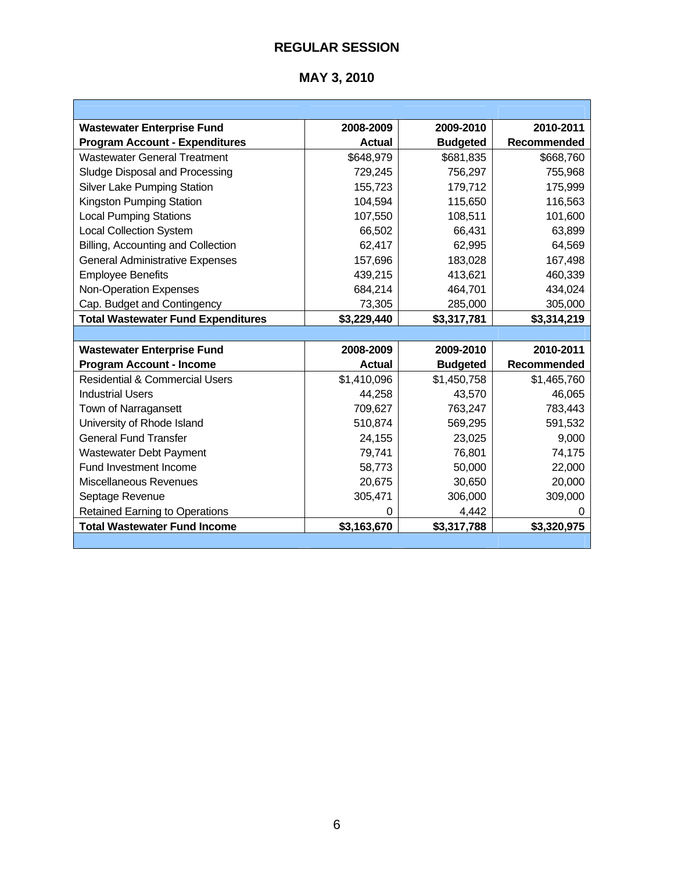| <b>Wastewater Enterprise Fund</b>         | 2008-2009     | 2009-2010       | 2010-2011          |
|-------------------------------------------|---------------|-----------------|--------------------|
| <b>Program Account - Expenditures</b>     | <b>Actual</b> | <b>Budgeted</b> | <b>Recommended</b> |
| <b>Wastewater General Treatment</b>       | \$648,979     | \$681,835       | \$668,760          |
| Sludge Disposal and Processing            | 729,245       | 756,297         | 755,968            |
| Silver Lake Pumping Station               | 155,723       | 179,712         | 175,999            |
| Kingston Pumping Station                  | 104,594       | 115,650         | 116,563            |
| <b>Local Pumping Stations</b>             | 107,550       | 108,511         | 101,600            |
| <b>Local Collection System</b>            | 66,502        | 66,431          | 63,899             |
| Billing, Accounting and Collection        | 62,417        | 62,995          | 64,569             |
| <b>General Administrative Expenses</b>    | 157,696       | 183,028         | 167,498            |
| <b>Employee Benefits</b>                  | 439,215       | 413,621         | 460,339            |
| <b>Non-Operation Expenses</b>             | 684,214       | 464,701         | 434,024            |
| Cap. Budget and Contingency               | 73,305        | 285,000         | 305,000            |
| <b>Total Wastewater Fund Expenditures</b> | \$3,229,440   | \$3,317,781     | \$3,314,219        |
|                                           |               |                 |                    |
| <b>Wastewater Enterprise Fund</b>         | 2008-2009     | 2009-2010       | 2010-2011          |
| <b>Program Account - Income</b>           | <b>Actual</b> | <b>Budgeted</b> | Recommended        |
| <b>Residential &amp; Commercial Users</b> | \$1,410,096   | \$1,450,758     | \$1,465,760        |
| Industrial Users                          | 44,258        | 43,570          | 46,065             |
| Town of Narragansett                      | 709,627       | 763,247         | 783,443            |
| University of Rhode Island                | 510,874       | 569,295         | 591,532            |
| <b>General Fund Transfer</b>              | 24,155        | 23,025          | 9,000              |
| Wastewater Debt Payment                   | 79,741        | 76,801          | 74,175             |
| Fund Investment Income                    | 58,773        | 50,000          | 22,000             |
| Miscellaneous Revenues                    | 20,675        | 30,650          | 20,000             |
| Septage Revenue                           | 305,471       | 306,000         | 309,000            |
| <b>Retained Earning to Operations</b>     | $\Omega$      | 4,442           | 0                  |
| <b>Total Wastewater Fund Income</b>       | \$3,163,670   | \$3,317,788     | \$3,320,975        |
|                                           |               |                 |                    |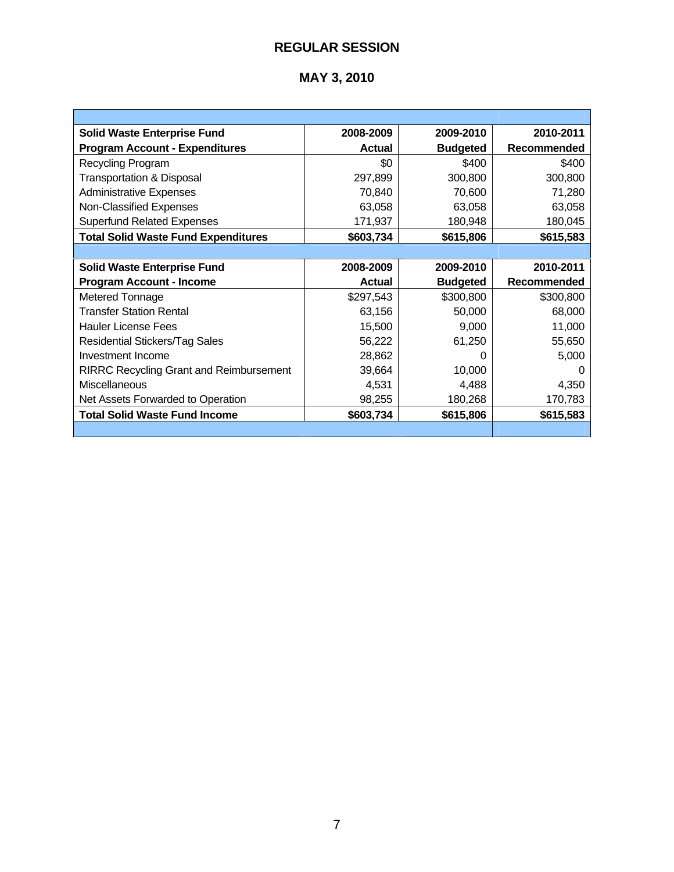| <b>Solid Waste Enterprise Fund</b>             | 2008-2009     | 2009-2010       | 2010-2011   |
|------------------------------------------------|---------------|-----------------|-------------|
| <b>Program Account - Expenditures</b>          | <b>Actual</b> | <b>Budgeted</b> | Recommended |
| Recycling Program                              | \$0           | \$400           | \$400       |
| <b>Transportation &amp; Disposal</b>           | 297,899       | 300,800         | 300,800     |
| <b>Administrative Expenses</b>                 | 70,840        | 70,600          | 71,280      |
| Non-Classified Expenses                        | 63,058        | 63,058          | 63,058      |
| <b>Superfund Related Expenses</b>              | 171,937       | 180,948         | 180,045     |
| <b>Total Solid Waste Fund Expenditures</b>     | \$603,734     | \$615,806       | \$615,583   |
|                                                |               |                 |             |
| <b>Solid Waste Enterprise Fund</b>             | 2008-2009     | 2009-2010       | 2010-2011   |
| <b>Program Account - Income</b>                | <b>Actual</b> | <b>Budgeted</b> | Recommended |
| Metered Tonnage                                | \$297,543     | \$300,800       | \$300,800   |
| <b>Transfer Station Rental</b>                 |               |                 |             |
|                                                | 63,156        | 50,000          | 68,000      |
| <b>Hauler License Fees</b>                     | 15,500        | 9,000           | 11,000      |
| <b>Residential Stickers/Tag Sales</b>          | 56,222        | 61,250          | 55,650      |
| Investment Income                              | 28,862        | O               | 5,000       |
| <b>RIRRC Recycling Grant and Reimbursement</b> | 39,664        | 10,000          |             |
| Miscellaneous                                  | 4,531         | 4,488           | 4,350       |
| Net Assets Forwarded to Operation              | 98,255        | 180,268         | 170,783     |
| <b>Total Solid Waste Fund Income</b>           | \$603,734     | \$615,806       | \$615,583   |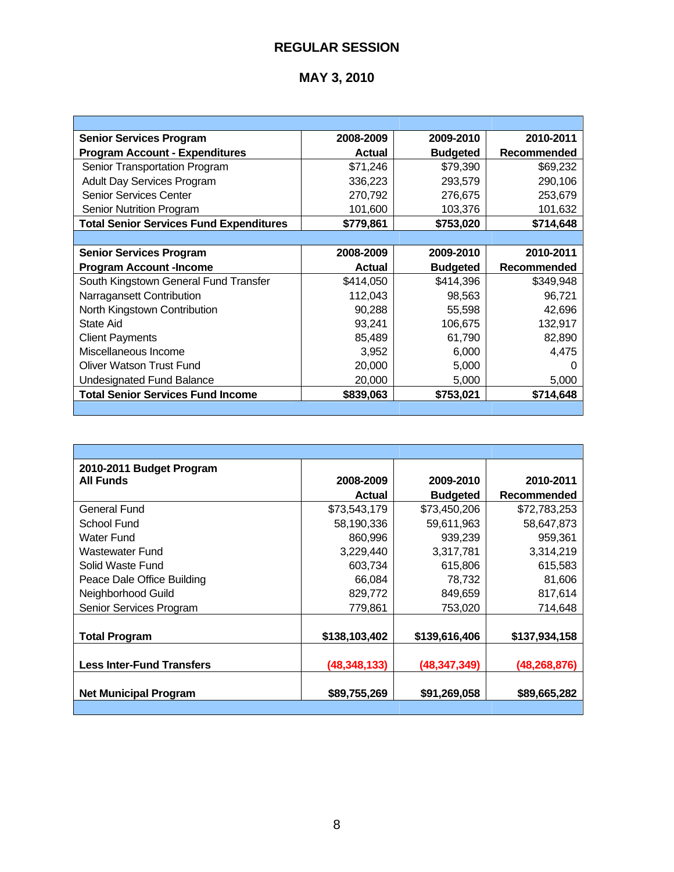| <b>Senior Services Program</b>                 | 2008-2009     | 2009-2010       | 2010-2011   |
|------------------------------------------------|---------------|-----------------|-------------|
| <b>Program Account - Expenditures</b>          | <b>Actual</b> | <b>Budgeted</b> | Recommended |
| Senior Transportation Program                  | \$71,246      | \$79,390        | \$69,232    |
| <b>Adult Day Services Program</b>              | 336,223       | 293,579         | 290,106     |
| <b>Senior Services Center</b>                  | 270,792       | 276,675         | 253,679     |
| <b>Senior Nutrition Program</b>                | 101,600       | 103,376         | 101,632     |
| <b>Total Senior Services Fund Expenditures</b> | \$779,861     | \$753,020       | \$714,648   |
|                                                |               |                 |             |
| <b>Senior Services Program</b>                 | 2008-2009     | 2009-2010       | 2010-2011   |
| <b>Program Account-Income</b>                  | <b>Actual</b> | <b>Budgeted</b> | Recommended |
| South Kingstown General Fund Transfer          | \$414,050     | \$414,396       | \$349,948   |
| Narragansett Contribution                      | 112,043       | 98,563          | 96,721      |
| North Kingstown Contribution                   | 90,288        | 55,598          | 42,696      |
| State Aid                                      | 93,241        | 106,675         | 132,917     |
| <b>Client Payments</b>                         | 85,489        | 61,790          | 82,890      |
| Miscellaneous Income                           | 3,952         | 6,000           | 4,475       |
| <b>Oliver Watson Trust Fund</b>                | 20,000        | 5,000           | O           |
| <b>Undesignated Fund Balance</b>               | 20,000        | 5,000           | 5,000       |
| <b>Total Senior Services Fund Income</b>       | \$839,063     | \$753,021       | \$714,648   |
|                                                |               |                 |             |

| 2010-2011 Budget Program         |                |                 |                |
|----------------------------------|----------------|-----------------|----------------|
| <b>All Funds</b>                 | 2008-2009      | 2009-2010       | 2010-2011      |
|                                  | <b>Actual</b>  | <b>Budgeted</b> | Recommended    |
| General Fund                     | \$73,543,179   | \$73,450,206    | \$72,783,253   |
| School Fund                      | 58,190,336     | 59,611,963      | 58,647,873     |
| <b>Water Fund</b>                | 860,996        | 939,239         | 959,361        |
| Wastewater Fund                  | 3,229,440      | 3,317,781       | 3,314,219      |
| Solid Waste Fund                 | 603,734        | 615,806         | 615,583        |
| Peace Dale Office Building       | 66,084         | 78,732          | 81,606         |
| Neighborhood Guild               | 829,772        | 849,659         | 817,614        |
| Senior Services Program          | 779,861        | 753,020         | 714,648        |
|                                  |                |                 |                |
| <b>Total Program</b>             | \$138,103,402  | \$139,616,406   | \$137,934,158  |
|                                  |                |                 |                |
| <b>Less Inter-Fund Transfers</b> | (48, 348, 133) | (48, 347, 349)  | (48, 268, 876) |
| <b>Net Municipal Program</b>     | \$89,755,269   | \$91,269,058    | \$89,665,282   |
|                                  |                |                 |                |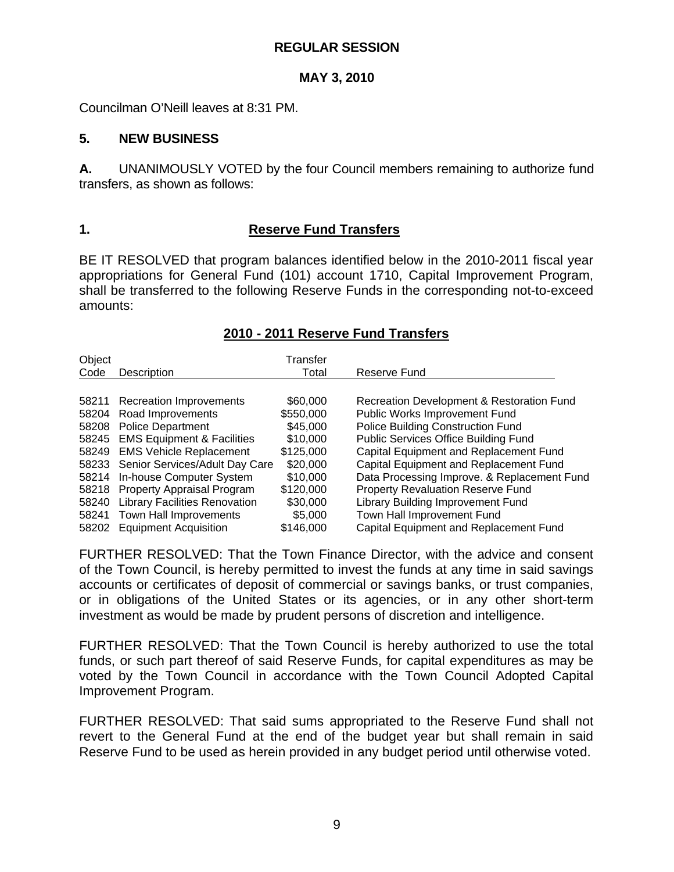#### **MAY 3, 2010**

Councilman O'Neill leaves at 8:31 PM.

#### **5. NEW BUSINESS**

**A.** UNANIMOUSLY VOTED by the four Council members remaining to authorize fund transfers, as shown as follows:

#### **1. Reserve Fund Transfers**

BE IT RESOLVED that program balances identified below in the 2010-2011 fiscal year appropriations for General Fund (101) account 1710, Capital Improvement Program, shall be transferred to the following Reserve Funds in the corresponding not-to-exceed amounts:

| Object<br>Code | Description                          | Transfer<br>Total | Reserve Fund                                |
|----------------|--------------------------------------|-------------------|---------------------------------------------|
|                | 58211 Recreation Improvements        | \$60,000          | Recreation Development & Restoration Fund   |
| 58204          | Road Improvements                    | \$550,000         | Public Works Improvement Fund               |
| 58208          | <b>Police Department</b>             | \$45,000          | <b>Police Building Construction Fund</b>    |
|                | 58245 EMS Equipment & Facilities     | \$10,000          | <b>Public Services Office Building Fund</b> |
|                | 58249 EMS Vehicle Replacement        | \$125,000         | Capital Equipment and Replacement Fund      |
|                | 58233 Senior Services/Adult Day Care | \$20,000          | Capital Equipment and Replacement Fund      |
| 58214          | In-house Computer System             | \$10,000          | Data Processing Improve. & Replacement Fund |
|                | 58218 Property Appraisal Program     | \$120,000         | <b>Property Revaluation Reserve Fund</b>    |
| 58240          | <b>Library Facilities Renovation</b> | \$30,000          | Library Building Improvement Fund           |
| 58241          | Town Hall Improvements               | \$5,000           | Town Hall Improvement Fund                  |
| 58202          | <b>Equipment Acquisition</b>         | \$146,000         | Capital Equipment and Replacement Fund      |

#### **2010 - 2011 Reserve Fund Transfers**

FURTHER RESOLVED: That the Town Finance Director, with the advice and consent of the Town Council, is hereby permitted to invest the funds at any time in said savings accounts or certificates of deposit of commercial or savings banks, or trust companies, or in obligations of the United States or its agencies, or in any other short-term investment as would be made by prudent persons of discretion and intelligence.

FURTHER RESOLVED: That the Town Council is hereby authorized to use the total funds, or such part thereof of said Reserve Funds, for capital expenditures as may be voted by the Town Council in accordance with the Town Council Adopted Capital Improvement Program.

FURTHER RESOLVED: That said sums appropriated to the Reserve Fund shall not revert to the General Fund at the end of the budget year but shall remain in said Reserve Fund to be used as herein provided in any budget period until otherwise voted.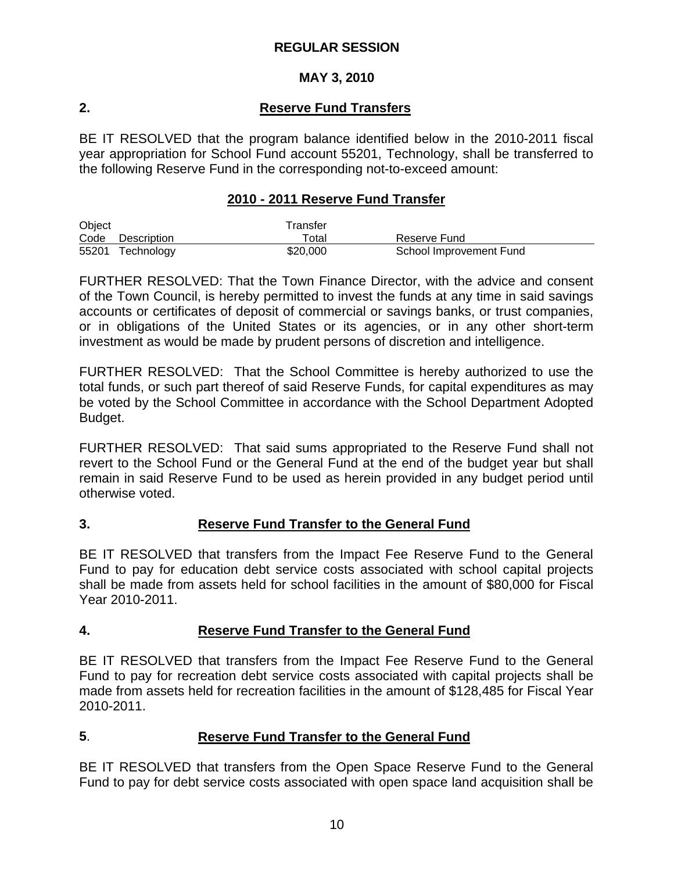## **MAY 3, 2010**

# **2. Reserve Fund Transfers**

BE IT RESOLVED that the program balance identified below in the 2010-2011 fiscal year appropriation for School Fund account 55201, Technology, shall be transferred to the following Reserve Fund in the corresponding not-to-exceed amount:

#### **2010 - 2011 Reserve Fund Transfer**

| Object |                  | Transfer    |                         |  |
|--------|------------------|-------------|-------------------------|--|
|        | Code Description | $\tau$ otal | Reserve Fund            |  |
|        | 55201 Technology | \$20,000    | School Improvement Fund |  |

FURTHER RESOLVED: That the Town Finance Director, with the advice and consent of the Town Council, is hereby permitted to invest the funds at any time in said savings accounts or certificates of deposit of commercial or savings banks, or trust companies, or in obligations of the United States or its agencies, or in any other short-term investment as would be made by prudent persons of discretion and intelligence.

FURTHER RESOLVED: That the School Committee is hereby authorized to use the total funds, or such part thereof of said Reserve Funds, for capital expenditures as may be voted by the School Committee in accordance with the School Department Adopted Budget.

FURTHER RESOLVED: That said sums appropriated to the Reserve Fund shall not revert to the School Fund or the General Fund at the end of the budget year but shall remain in said Reserve Fund to be used as herein provided in any budget period until otherwise voted.

## **3. Reserve Fund Transfer to the General Fund**

BE IT RESOLVED that transfers from the Impact Fee Reserve Fund to the General Fund to pay for education debt service costs associated with school capital projects shall be made from assets held for school facilities in the amount of \$80,000 for Fiscal Year 2010-2011.

## **4. Reserve Fund Transfer to the General Fund**

BE IT RESOLVED that transfers from the Impact Fee Reserve Fund to the General Fund to pay for recreation debt service costs associated with capital projects shall be made from assets held for recreation facilities in the amount of \$128,485 for Fiscal Year 2010-2011.

## **5**. **Reserve Fund Transfer to the General Fund**

BE IT RESOLVED that transfers from the Open Space Reserve Fund to the General Fund to pay for debt service costs associated with open space land acquisition shall be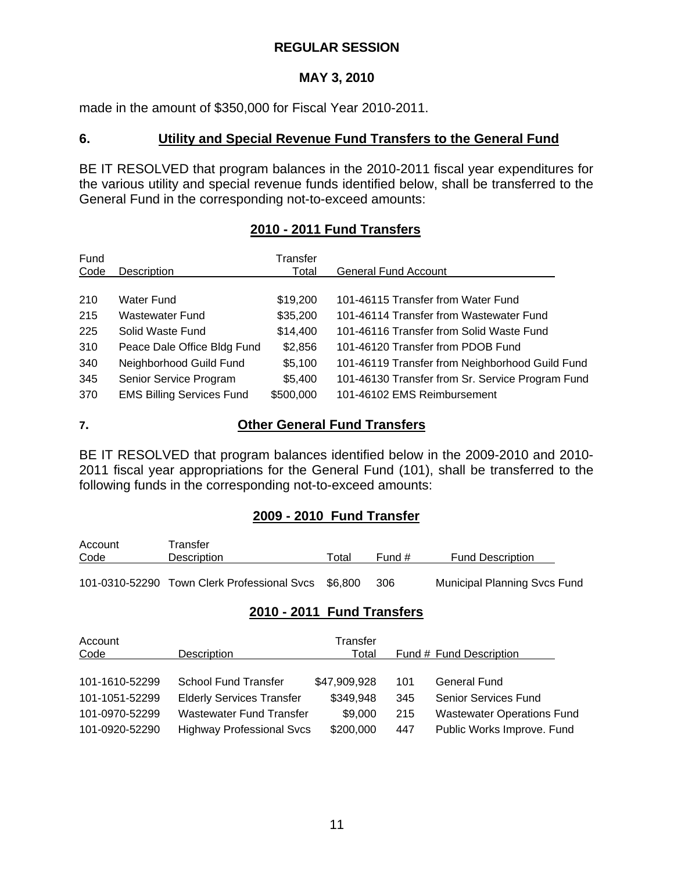# **MAY 3, 2010**

made in the amount of \$350,000 for Fiscal Year 2010-2011.

### **6. Utility and Special Revenue Fund Transfers to the General Fund**

BE IT RESOLVED that program balances in the 2010-2011 fiscal year expenditures for the various utility and special revenue funds identified below, shall be transferred to the General Fund in the corresponding not-to-exceed amounts:

# **2010 - 2011 Fund Transfers**

| Fund<br>Code | <b>Description</b>               | Transfer<br>Total | <b>General Fund Account</b>                      |
|--------------|----------------------------------|-------------------|--------------------------------------------------|
|              |                                  |                   |                                                  |
| 210          | Water Fund                       | \$19,200          | 101-46115 Transfer from Water Fund               |
| 215          | Wastewater Fund                  | \$35,200          | 101-46114 Transfer from Wastewater Fund          |
| 225          | Solid Waste Fund                 | \$14,400          | 101-46116 Transfer from Solid Waste Fund         |
| 310          | Peace Dale Office Bldg Fund      | \$2,856           | 101-46120 Transfer from PDOB Fund                |
| 340          | Neighborhood Guild Fund          | \$5,100           | 101-46119 Transfer from Neighborhood Guild Fund  |
| 345          | Senior Service Program           | \$5,400           | 101-46130 Transfer from Sr. Service Program Fund |
| 370          | <b>EMS Billing Services Fund</b> | \$500,000         | 101-46102 EMS Reimbursement                      |

## **7. Other General Fund Transfers**

BE IT RESOLVED that program balances identified below in the 2009-2010 and 2010- 2011 fiscal year appropriations for the General Fund (101), shall be transferred to the following funds in the corresponding not-to-exceed amounts:

## **2009 - 2010 Fund Transfer**

| Account     | Transfer                                            |       |        |                                     |
|-------------|-----------------------------------------------------|-------|--------|-------------------------------------|
| <u>Code</u> | Description                                         | ™ota⊩ | Fund # | <b>Fund Description</b>             |
|             |                                                     |       |        |                                     |
|             | 101-0310-52290 Town Clerk Professional Svcs \$6,800 |       | 306    | <b>Municipal Planning Svcs Fund</b> |

# **2010 - 2011 Fund Transfers**

| Account<br>Code | Description                      | Transfer<br>Total |     | Fund # Fund Description           |
|-----------------|----------------------------------|-------------------|-----|-----------------------------------|
| 101-1610-52299  | School Fund Transfer             | \$47,909,928      | 101 | <b>General Fund</b>               |
| 101-1051-52299  | <b>Elderly Services Transfer</b> | \$349,948         | 345 | <b>Senior Services Fund</b>       |
| 101-0970-52299  | <b>Wastewater Fund Transfer</b>  | \$9,000           | 215 | <b>Wastewater Operations Fund</b> |
| 101-0920-52290  | <b>Highway Professional Svcs</b> | \$200,000         | 447 | Public Works Improve. Fund        |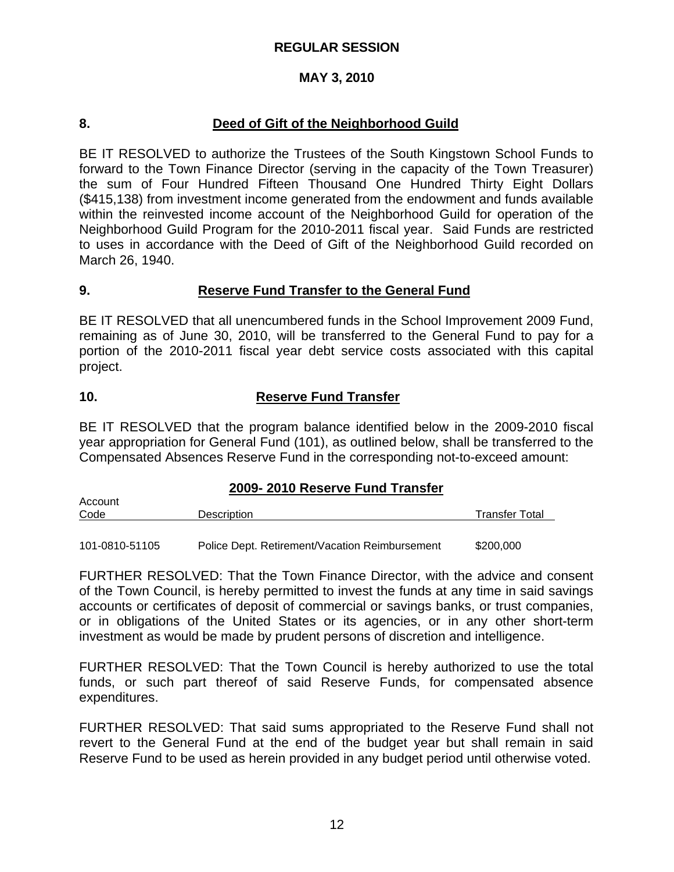#### **MAY 3, 2010**

#### **8. Deed of Gift of the Neighborhood Guild**

BE IT RESOLVED to authorize the Trustees of the South Kingstown School Funds to forward to the Town Finance Director (serving in the capacity of the Town Treasurer) the sum of Four Hundred Fifteen Thousand One Hundred Thirty Eight Dollars (\$415,138) from investment income generated from the endowment and funds available within the reinvested income account of the Neighborhood Guild for operation of the Neighborhood Guild Program for the 2010-2011 fiscal year. Said Funds are restricted to uses in accordance with the Deed of Gift of the Neighborhood Guild recorded on March 26, 1940.

#### **9. Reserve Fund Transfer to the General Fund**

BE IT RESOLVED that all unencumbered funds in the School Improvement 2009 Fund, remaining as of June 30, 2010, will be transferred to the General Fund to pay for a portion of the 2010-2011 fiscal year debt service costs associated with this capital project.

#### **10. Reserve Fund Transfer**

BE IT RESOLVED that the program balance identified below in the 2009-2010 fiscal year appropriation for General Fund (101), as outlined below, shall be transferred to the Compensated Absences Reserve Fund in the corresponding not-to-exceed amount:

#### **2009- 2010 Reserve Fund Transfer**

| Account |                    |                       |
|---------|--------------------|-----------------------|
| Code    | <b>Description</b> | <b>Transfer Total</b> |
|         |                    |                       |

101-0810-51105 Police Dept. Retirement/Vacation Reimbursement \$200,000

FURTHER RESOLVED: That the Town Finance Director, with the advice and consent of the Town Council, is hereby permitted to invest the funds at any time in said savings accounts or certificates of deposit of commercial or savings banks, or trust companies, or in obligations of the United States or its agencies, or in any other short-term investment as would be made by prudent persons of discretion and intelligence.

FURTHER RESOLVED: That the Town Council is hereby authorized to use the total funds, or such part thereof of said Reserve Funds, for compensated absence expenditures.

FURTHER RESOLVED: That said sums appropriated to the Reserve Fund shall not revert to the General Fund at the end of the budget year but shall remain in said Reserve Fund to be used as herein provided in any budget period until otherwise voted.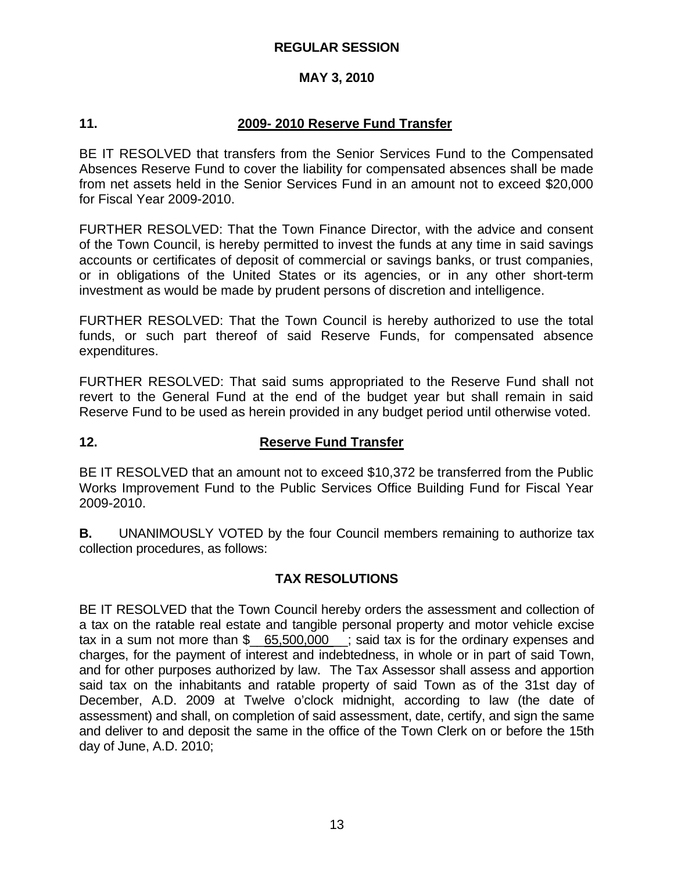#### **MAY 3, 2010**

#### **11. 2009- 2010 Reserve Fund Transfer**

BE IT RESOLVED that transfers from the Senior Services Fund to the Compensated Absences Reserve Fund to cover the liability for compensated absences shall be made from net assets held in the Senior Services Fund in an amount not to exceed \$20,000 for Fiscal Year 2009-2010.

FURTHER RESOLVED: That the Town Finance Director, with the advice and consent of the Town Council, is hereby permitted to invest the funds at any time in said savings accounts or certificates of deposit of commercial or savings banks, or trust companies, or in obligations of the United States or its agencies, or in any other short-term investment as would be made by prudent persons of discretion and intelligence.

FURTHER RESOLVED: That the Town Council is hereby authorized to use the total funds, or such part thereof of said Reserve Funds, for compensated absence expenditures.

FURTHER RESOLVED: That said sums appropriated to the Reserve Fund shall not revert to the General Fund at the end of the budget year but shall remain in said Reserve Fund to be used as herein provided in any budget period until otherwise voted.

## **12. Reserve Fund Transfer**

BE IT RESOLVED that an amount not to exceed \$10,372 be transferred from the Public Works Improvement Fund to the Public Services Office Building Fund for Fiscal Year 2009-2010.

**B.** UNANIMOUSLY VOTED by the four Council members remaining to authorize tax collection procedures, as follows:

#### **TAX RESOLUTIONS**

BE IT RESOLVED that the Town Council hereby orders the assessment and collection of a tax on the ratable real estate and tangible personal property and motor vehicle excise tax in a sum not more than  $\frac{6}{5}$  65,500,000  $\frac{1}{5}$ ; said tax is for the ordinary expenses and charges, for the payment of interest and indebtedness, in whole or in part of said Town, and for other purposes authorized by law. The Tax Assessor shall assess and apportion said tax on the inhabitants and ratable property of said Town as of the 31st day of December, A.D. 2009 at Twelve o'clock midnight, according to law (the date of assessment) and shall, on completion of said assessment, date, certify, and sign the same and deliver to and deposit the same in the office of the Town Clerk on or before the 15th day of June, A.D. 2010;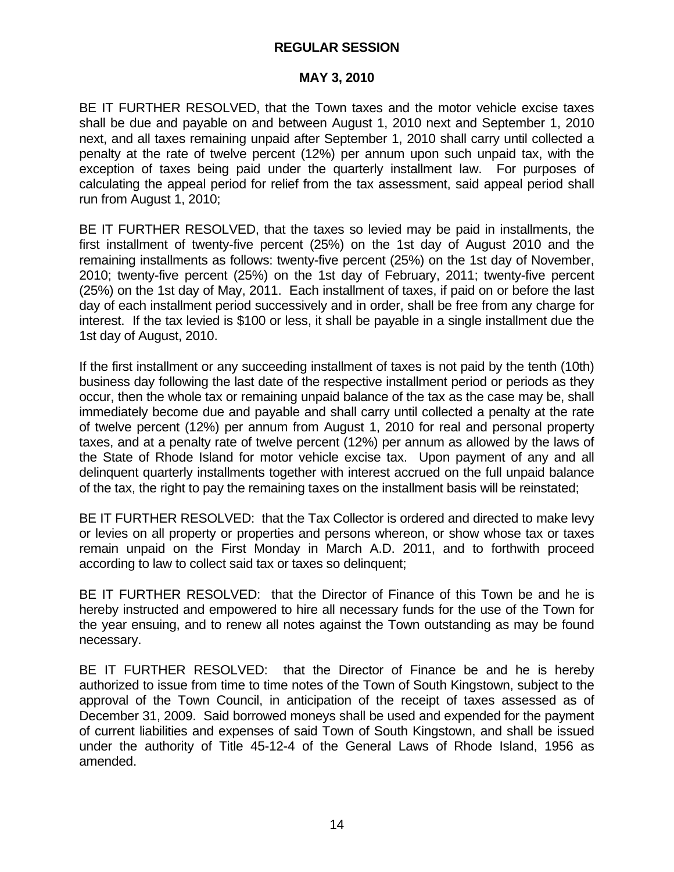#### **MAY 3, 2010**

BE IT FURTHER RESOLVED, that the Town taxes and the motor vehicle excise taxes shall be due and payable on and between August 1, 2010 next and September 1, 2010 next, and all taxes remaining unpaid after September 1, 2010 shall carry until collected a penalty at the rate of twelve percent (12%) per annum upon such unpaid tax, with the exception of taxes being paid under the quarterly installment law. For purposes of calculating the appeal period for relief from the tax assessment, said appeal period shall run from August 1, 2010;

BE IT FURTHER RESOLVED, that the taxes so levied may be paid in installments, the first installment of twenty-five percent (25%) on the 1st day of August 2010 and the remaining installments as follows: twenty-five percent (25%) on the 1st day of November, 2010; twenty-five percent (25%) on the 1st day of February, 2011; twenty-five percent (25%) on the 1st day of May, 2011. Each installment of taxes, if paid on or before the last day of each installment period successively and in order, shall be free from any charge for interest. If the tax levied is \$100 or less, it shall be payable in a single installment due the 1st day of August, 2010.

If the first installment or any succeeding installment of taxes is not paid by the tenth (10th) business day following the last date of the respective installment period or periods as they occur, then the whole tax or remaining unpaid balance of the tax as the case may be, shall immediately become due and payable and shall carry until collected a penalty at the rate of twelve percent (12%) per annum from August 1, 2010 for real and personal property taxes, and at a penalty rate of twelve percent (12%) per annum as allowed by the laws of the State of Rhode Island for motor vehicle excise tax. Upon payment of any and all delinquent quarterly installments together with interest accrued on the full unpaid balance of the tax, the right to pay the remaining taxes on the installment basis will be reinstated;

BE IT FURTHER RESOLVED: that the Tax Collector is ordered and directed to make levy or levies on all property or properties and persons whereon, or show whose tax or taxes remain unpaid on the First Monday in March A.D. 2011, and to forthwith proceed according to law to collect said tax or taxes so delinquent;

BE IT FURTHER RESOLVED: that the Director of Finance of this Town be and he is hereby instructed and empowered to hire all necessary funds for the use of the Town for the year ensuing, and to renew all notes against the Town outstanding as may be found necessary.

BE IT FURTHER RESOLVED: that the Director of Finance be and he is hereby authorized to issue from time to time notes of the Town of South Kingstown, subject to the approval of the Town Council, in anticipation of the receipt of taxes assessed as of December 31, 2009. Said borrowed moneys shall be used and expended for the payment of current liabilities and expenses of said Town of South Kingstown, and shall be issued under the authority of Title 45-12-4 of the General Laws of Rhode Island, 1956 as amended.